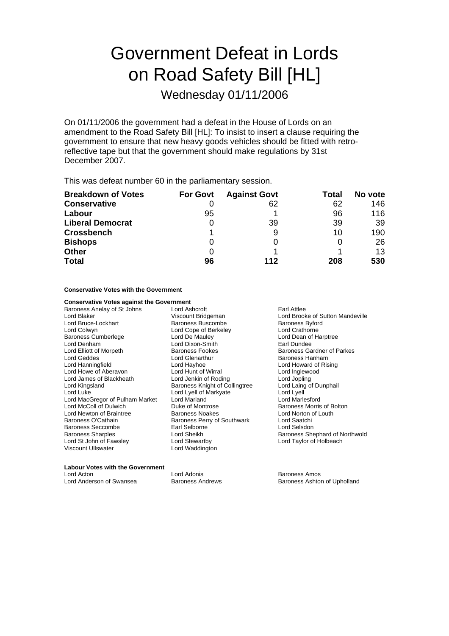# Government Defeat in Lords on Road Safety Bill [HL]

Wednesday 01/11/2006

On 01/11/2006 the government had a defeat in the House of Lords on an amendment to the Road Safety Bill [HL]: To insist to insert a clause requiring the government to ensure that new heavy goods vehicles should be fitted with retroreflective tape but that the government should make regulations by 31st December 2007.

This was defeat number 60 in the parliamentary session.

| <b>Breakdown of Votes</b> | <b>For Govt</b> | <b>Against Govt</b> | Total | No vote |
|---------------------------|-----------------|---------------------|-------|---------|
| <b>Conservative</b>       |                 | 62                  | 62    | 146     |
| Labour                    | 95              |                     | 96    | 116     |
| <b>Liberal Democrat</b>   | O               | 39                  | 39    | 39      |
| <b>Crossbench</b>         |                 | 9                   | 10    | 190     |
| <b>Bishops</b>            | O               |                     |       | 26      |
| <b>Other</b>              | 0               |                     |       | 13      |
| <b>Total</b>              | 96              | 112                 | 208   | 530     |

#### **Conservative Votes with the Government**

| <b>Conservative Votes against the Government</b> |                                |                                   |
|--------------------------------------------------|--------------------------------|-----------------------------------|
| Baroness Anelay of St Johns                      | Lord Ashcroft                  | Earl Attlee                       |
| Lord Blaker                                      | Viscount Bridgeman             | Lord Brooke of Sutton Mandeville  |
| Lord Bruce-Lockhart                              | <b>Baroness Buscombe</b>       | <b>Baroness Byford</b>            |
| Lord Colwyn                                      | Lord Cope of Berkeley          | Lord Crathorne                    |
| Baroness Cumberlege                              | Lord De Mauley                 | Lord Dean of Harptree             |
| Lord Denham                                      | Lord Dixon-Smith               | Earl Dundee                       |
| Lord Elliott of Morpeth                          | Baroness Fookes                | <b>Baroness Gardner of Parkes</b> |
| Lord Geddes                                      | Lord Glenarthur                | Baroness Hanham                   |
| Lord Hanningfield                                | Lord Hayhoe                    | Lord Howard of Rising             |
| Lord Howe of Aberavon                            | Lord Hunt of Wirral            | Lord Inglewood                    |
| Lord James of Blackheath                         | Lord Jenkin of Roding          | Lord Jopling                      |
| Lord Kingsland                                   | Baroness Knight of Collingtree | Lord Laing of Dunphail            |
| Lord Luke                                        | Lord Lyell of Markyate         | Lord Lyell                        |
| Lord MacGregor of Pulham Market                  | Lord Marland                   | <b>Lord Marlesford</b>            |
| Lord McColl of Dulwich                           | Duke of Montrose               | Baroness Morris of Bolton         |
| Lord Newton of Braintree                         | Baroness Noakes                | Lord Norton of Louth              |
| Baroness O'Cathain                               | Baroness Perry of Southwark    | Lord Saatchi                      |
| Baroness Seccombe                                | Earl Selborne                  | Lord Selsdon                      |
| Baroness Sharples                                | Lord Sheikh                    | Baroness Shephard of Northwold    |
| Lord St John of Fawsley                          | Lord Stewartby                 | Lord Taylor of Holbeach           |
| Viscount Ullswater                               | Lord Waddington                |                                   |
|                                                  |                                |                                   |

#### **Labour Votes with the Government**

| Lord Acton               |  |
|--------------------------|--|
| Lord Anderson of Swansea |  |

Lord Adonis<br>
Baroness Andrews<br>
Baroness Ashton Baroness Ashton

Baroness Ashton of Upholland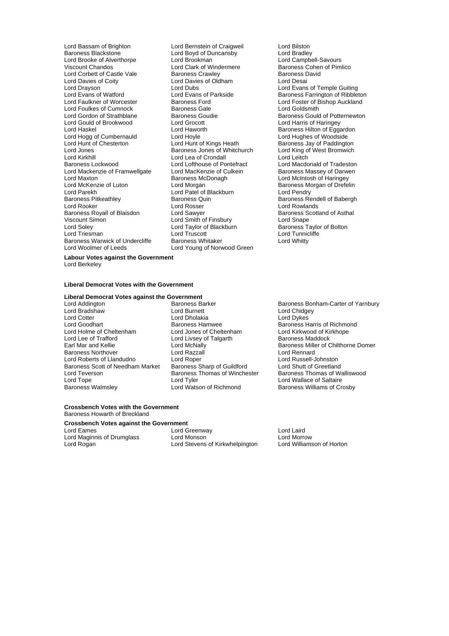Lord Bassam of Brighton **Lord Bernstein of Craigweil**<br>
Baroness Blackstone **Cornel Lord Boyd of Duncansby** Lord Bradley Baroness Blackstone **Lord Boyd of Duncansby**<br>
Lord Brooke of Alverthorpe **Lord Brookman** Lord Brooke of Alverthorpe Lord Brookman Lord Campbell-Savours<br>
Lord Campbell-Savours<br>
Lord Clark of Windermere Baroness Cohen of Pim Lord Corbett of Castle Vale Baroness Crawley<br>
Lord Davies of Corbustian Corp Lord Davies of Oldham<br>
Lord Davies of Corp Lord Desai Lord Davies of Coity Lord Davies of Oldham<br>
Lord Dravson Lord Dubs Lord Drayson<br>
Lord Drayson<br>
Lord Evans of Watford **Lord Evans Conduct Lord Evans of Temple Guiting**<br>
Lord Evans of Watford Lord Evans of Parkside **Baroness Farrington of Ribblet** Lord Evans of Watford **Lord Evans of Parkside Baroness Farrington** of Ribbleton<br>Lord Faulkner of Worcester Baroness Ford **Baroness Ford** Lord Foster of Bishop Auckland Lord Foulkes of Cumnock Baroness Gale<br>
Lord Gordon of Strathblane Baroness Goudie Lord Gordon of Strathblane Baroness Goudie Baroness Gould of Potternewton<br>
Lord Gould of Brookwood Lord Grocott Lord Harris of Haringey Lord Gould of Brookwood Lord Grocott Lord Harris of Haringey Lord Hogg of Cumbernauld Lord Hoyle<br>
Lord Hunt of Chesterton **Lord Hunt of Kings Heath** Lord Jones Baroness Jones of Whitchurch Lord King of West Bromwich Lord Kirkhill<br>
Baroness Lockwood **Example 2018** Lord Lofthouse of Pontefract Lord Mackenzie of Framwellgate Lord MacKenzie of Cultus<br>Lord Maxton Baroness McDonagh Lord Maxton **Lord Maxton** Baroness McDonagh **Lord McIntosh of Haringey**<br>
Lord McKenzie of Luton **Lord Morgan** Lord Morgan **Baroness Morgan** of Drefel Lord McKenzie of Luton Lord Morgan Corporation and Baroness Morgan of Drefelin<br>
Lord Parekh Corporation Lord Patel of Blackburn Lord Pendry Lord Parekh Lord Patel of Blackburn<br>Baroness Pitkeathlev Baroness Quin Baroness Pitkeathley **Baroness Quin** Baroness Quin Baroness Rendell of Babergh<br>
Lord Rooker **Baroness Lord Rosser Baroness Rendell of Babergh** Baroness Royall of Blaisdon Viscount Simon **Viscount Simon** Lord Smape Lord Snape Lord Snape Lord Snape Lord Snape Lord Snape Lord Snape Lord Snape Lord Snape Lord Snape Lord Snape Lord Snape Lord Snape Lord Taylor of Blackburn Lord Soley Lord Taylor of lackburn B Baroness Taylor of Bolton Baroness Warwick of Undercliffe Baroness Whitaker Baroness Whitty<br>
Lord Woolmer of Leeds Lord Young of Norwood Green

Lord Clark of Windermere **Baroness Cohen of Pimlico**<br>
Baroness Crawley **Baroness David** Baroness Ford **Exercise Exercise Ford Exercise Ford Foster of Bishop Auckland Baroness Gale**<br>
Lord Goldsmith Lord Haworth **Baroness Hilton of Eggardon**<br>Lord Hoyle **Baroness Hotel Lord Hughes of Woodside** Examble of Pontefract<br>
Lord Lofthouse of Pontefract<br>
Lord Macdonald of Tradeston<br>
Lord MacKenzie of Culkein<br>
Baroness Massey of Darwen Lord Rosser **Lord Rowlands**<br>
Lord Sawver **Lord Rowlands**<br>
Baroness Scotland of Asthal Lord Triesman Lord Truscott Lord Tunnicliffe Lord Young of Norwood Green

Baroness Jay of Paddington<br>Lord King of West Bromwich

**Labour Votes against the Government**

Lord Berkeley

#### **Liberal Democrat Votes with the Government**

# **Liberal Democrat Votes against the Government**<br>
Lord Addington<br> **Rations Barker**

Lord Bradshaw Lord Burnett Lord Chidgey Lord Goodhart **Baroness Hamwee** Baroness Hammuse **Baroness Harris of Richmond**<br>Baroness Harris of Richmond **Baroness Harris of Cheltenham** Baroness Harris of Richmond Lord Holme of Cheltenham Lord Jones of Cheltenham<br>
Lord Lee of Trafford **Lord Livsey of Talgarth** Lord Lee of Trafford **Lord Lord Livsey of Talgarth** Baroness Maddock<br>
Earl Mar and Kellie **Baroness Miller** of C Baroness Northover Lord Razzall Lord Rennard Lord Roberts of Llandudno Lord Roper Lord Russell-Johnston Baroness Scott of Needham Market Baroness Sharp of Guildford Lord Shutt of Greetland<br>Lord Teverson Baroness Thomas of Winchester Baroness Thomas of Walliswood Lord Teverson Saroness Thomas of Winchester<br>
Lord Tope<br>
Lord Tvler Lord Tope<br>
Lord Tope Lord Tyler Communication Corol Lord Wallace of Saltaire<br>
Lord Watson of Richmond Baroness Williams of Cro

Baroness Barker **Baroness Bonham-Carter of Yarnbury**<br>
Lord Addington Lord Chidgey Lord Dholakia

**Earl McNally Baroness Miller of Chilthorne Domer**<br>
Lord Razzall **Lord Rennard** Baroness Williams of Crosby

#### **Crossbench Votes with the Government** Baroness Howarth of Breckland

#### **Crossbench Votes against the Government**

Lord Maginnis of Drumglass Lord Monson (Carolin Morrow Lord Morrow Lord Morrow Lord Roan and Lord Roan Lord Ro<br>Lord Roaan (Lord Stevens of Kirkwhelpinaton Lord Williamson of Horton

Lord Eames<br>
Lord Maginnis of Drumqlass
Lord Monson
Lord Monson
Lord Monson
Lord Monson
Lord Monson
Lord Monson
Lord Monson
Lord Monson
Lord Monson
Lord Monson
Lord Monson
Lord Monson
Lord Monson
Lord Monson
Lord Monson
Lor Lord Stevens of Kirkwhelpington